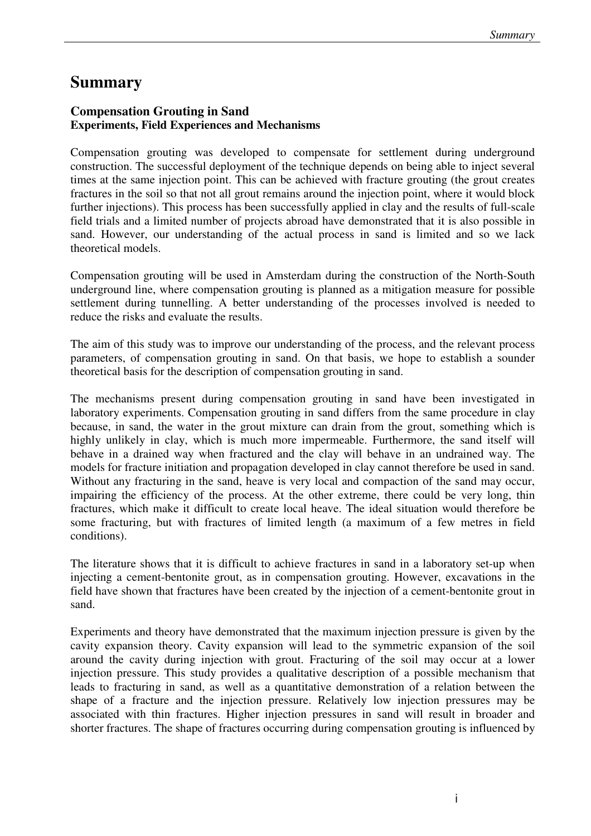## **Summary**

## **Compensation Grouting in Sand Experiments, Field Experiences and Mechanisms**

Compensation grouting was developed to compensate for settlement during underground construction. The successful deployment of the technique depends on being able to inject several times at the same injection point. This can be achieved with fracture grouting (the grout creates fractures in the soil so that not all grout remains around the injection point, where it would block further injections). This process has been successfully applied in clay and the results of full-scale field trials and a limited number of projects abroad have demonstrated that it is also possible in sand. However, our understanding of the actual process in sand is limited and so we lack theoretical models.

Compensation grouting will be used in Amsterdam during the construction of the North-South underground line, where compensation grouting is planned as a mitigation measure for possible settlement during tunnelling. A better understanding of the processes involved is needed to reduce the risks and evaluate the results.

The aim of this study was to improve our understanding of the process, and the relevant process parameters, of compensation grouting in sand. On that basis, we hope to establish a sounder theoretical basis for the description of compensation grouting in sand.

The mechanisms present during compensation grouting in sand have been investigated in laboratory experiments. Compensation grouting in sand differs from the same procedure in clay because, in sand, the water in the grout mixture can drain from the grout, something which is highly unlikely in clay, which is much more impermeable. Furthermore, the sand itself will behave in a drained way when fractured and the clay will behave in an undrained way. The models for fracture initiation and propagation developed in clay cannot therefore be used in sand. Without any fracturing in the sand, heave is very local and compaction of the sand may occur, impairing the efficiency of the process. At the other extreme, there could be very long, thin fractures, which make it difficult to create local heave. The ideal situation would therefore be some fracturing, but with fractures of limited length (a maximum of a few metres in field conditions).

The literature shows that it is difficult to achieve fractures in sand in a laboratory set-up when injecting a cement-bentonite grout, as in compensation grouting. However, excavations in the field have shown that fractures have been created by the injection of a cement-bentonite grout in sand.

Experiments and theory have demonstrated that the maximum injection pressure is given by the cavity expansion theory. Cavity expansion will lead to the symmetric expansion of the soil around the cavity during injection with grout. Fracturing of the soil may occur at a lower injection pressure. This study provides a qualitative description of a possible mechanism that leads to fracturing in sand, as well as a quantitative demonstration of a relation between the shape of a fracture and the injection pressure. Relatively low injection pressures may be associated with thin fractures. Higher injection pressures in sand will result in broader and shorter fractures. The shape of fractures occurring during compensation grouting is influenced by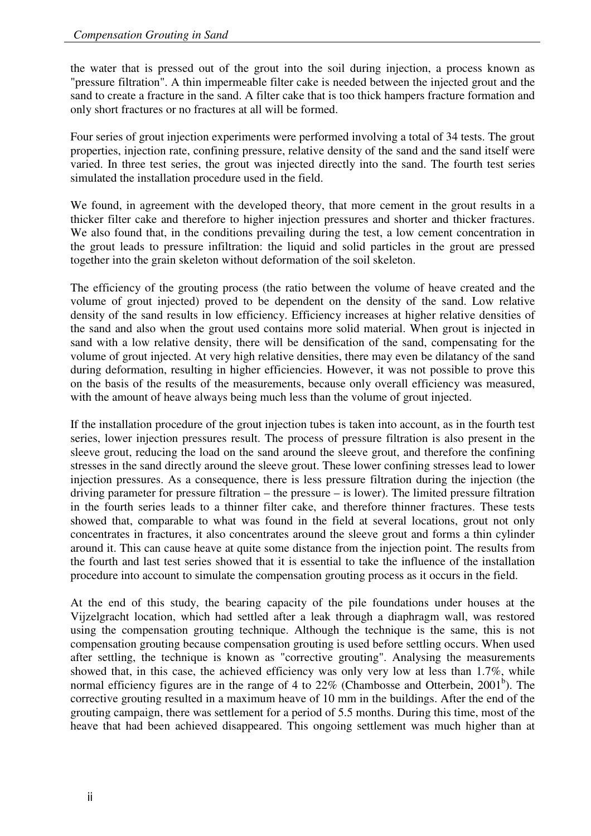the water that is pressed out of the grout into the soil during injection, a process known as "pressure filtration". A thin impermeable filter cake is needed between the injected grout and the sand to create a fracture in the sand. A filter cake that is too thick hampers fracture formation and only short fractures or no fractures at all will be formed.

Four series of grout injection experiments were performed involving a total of 34 tests. The grout properties, injection rate, confining pressure, relative density of the sand and the sand itself were varied. In three test series, the grout was injected directly into the sand. The fourth test series simulated the installation procedure used in the field.

We found, in agreement with the developed theory, that more cement in the grout results in a thicker filter cake and therefore to higher injection pressures and shorter and thicker fractures. We also found that, in the conditions prevailing during the test, a low cement concentration in the grout leads to pressure infiltration: the liquid and solid particles in the grout are pressed together into the grain skeleton without deformation of the soil skeleton.

The efficiency of the grouting process (the ratio between the volume of heave created and the volume of grout injected) proved to be dependent on the density of the sand. Low relative density of the sand results in low efficiency. Efficiency increases at higher relative densities of the sand and also when the grout used contains more solid material. When grout is injected in sand with a low relative density, there will be densification of the sand, compensating for the volume of grout injected. At very high relative densities, there may even be dilatancy of the sand during deformation, resulting in higher efficiencies. However, it was not possible to prove this on the basis of the results of the measurements, because only overall efficiency was measured, with the amount of heave always being much less than the volume of grout injected.

If the installation procedure of the grout injection tubes is taken into account, as in the fourth test series, lower injection pressures result. The process of pressure filtration is also present in the sleeve grout, reducing the load on the sand around the sleeve grout, and therefore the confining stresses in the sand directly around the sleeve grout. These lower confining stresses lead to lower injection pressures. As a consequence, there is less pressure filtration during the injection (the driving parameter for pressure filtration – the pressure – is lower). The limited pressure filtration in the fourth series leads to a thinner filter cake, and therefore thinner fractures. These tests showed that, comparable to what was found in the field at several locations, grout not only concentrates in fractures, it also concentrates around the sleeve grout and forms a thin cylinder around it. This can cause heave at quite some distance from the injection point. The results from the fourth and last test series showed that it is essential to take the influence of the installation procedure into account to simulate the compensation grouting process as it occurs in the field.

At the end of this study, the bearing capacity of the pile foundations under houses at the Vijzelgracht location, which had settled after a leak through a diaphragm wall, was restored using the compensation grouting technique. Although the technique is the same, this is not compensation grouting because compensation grouting is used before settling occurs. When used after settling, the technique is known as "corrective grouting". Analysing the measurements showed that, in this case, the achieved efficiency was only very low at less than 1.7%, while normal efficiency figures are in the range of 4 to  $22\%$  (Chambosse and Otterbein,  $2001<sup>b</sup>$ ). The corrective grouting resulted in a maximum heave of 10 mm in the buildings. After the end of the grouting campaign, there was settlement for a period of 5.5 months. During this time, most of the heave that had been achieved disappeared. This ongoing settlement was much higher than at